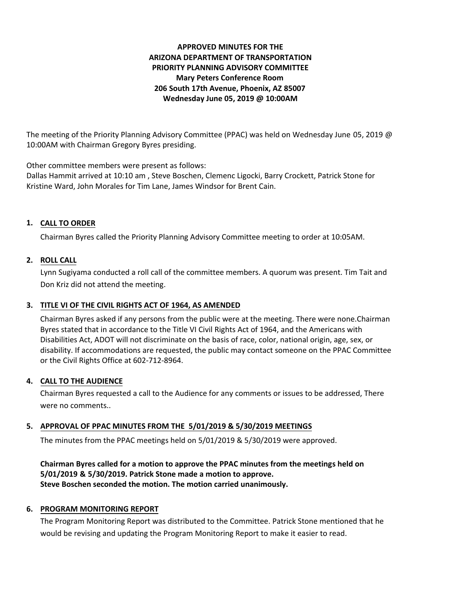# **APPROVED MINUTES FOR THE ARIZONA DEPARTMENT OF TRANSPORTATION PRIORITY PLANNING ADVISORY COMMITTEE Mary Peters Conference Room 206 South 17th Avenue, Phoenix, AZ 85007 Wednesday June 05, 2019 @ 10:00AM**

The meeting of the Priority Planning Advisory Committee (PPAC) was held on Wednesday June 05, 2019 @ 10:00AM with Chairman Gregory Byres presiding.

Other committee members were present as follows:

Dallas Hammit arrived at 10:10 am , Steve Boschen, Clemenc Ligocki, Barry Crockett, Patrick Stone for Kristine Ward, John Morales for Tim Lane, James Windsor for Brent Cain.

# **CALL TO ORDER 1.**

Chairman Byres called the Priority Planning Advisory Committee meeting to order at 10:05AM.

# **ROLL CALL 2.**

Lynn Sugiyama conducted a roll call of the committee members. A quorum was present. Tim Tait and Don Kriz did not attend the meeting.

# **TITLE VI OF THE CIVIL RIGHTS ACT OF 1964, AS AMENDED 3.**

Chairman Byres asked if any persons from the public were at the meeting. There were none.Chairman Byres stated that in accordance to the Title VI Civil Rights Act of 1964, and the Americans with Disabilities Act, ADOT will not discriminate on the basis of race, color, national origin, age, sex, or disability. If accommodations are requested, the public may contact someone on the PPAC Committee or the Civil Rights Office at 602-712-8964.

# **CALL TO THE AUDIENCE 4.**

Chairman Byres requested a call to the Audience for any comments or issues to be addressed, There were no comments..

# **APPROVAL OF PPAC MINUTES FROM THE 5/01/2019 & 5/30/2019 MEETINGS 5.**

The minutes from the PPAC meetings held on 5/01/2019 & 5/30/2019 were approved.

# **Chairman Byres called for a motion to approve the PPAC minutes from the meetings held on 5/01/2019 & 5/30/2019. Patrick Stone made a motion to approve. Steve Boschen seconded the motion. The motion carried unanimously.**

# **6. PROGRAM MONITORING REPORT**

The Program Monitoring Report was distributed to the Committee. Patrick Stone mentioned that he would be revising and updating the Program Monitoring Report to make it easier to read.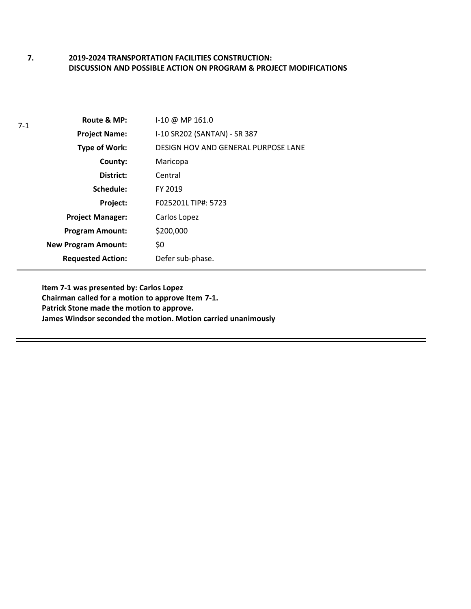#### **2019-2024 TRANSPORTATION FACILITIES CONSTRUCTION: DISCUSSION AND POSSIBLE ACTION ON PROGRAM & PROJECT MODIFICATIONS 7.**

| $7-1$ | Route & MP:                | $1-10 \ @ \ MP 161.0$               |
|-------|----------------------------|-------------------------------------|
|       | <b>Project Name:</b>       | I-10 SR202 (SANTAN) - SR 387        |
|       | <b>Type of Work:</b>       | DESIGN HOV AND GENERAL PURPOSE LANE |
|       | County:                    | Maricopa                            |
|       | District:                  | Central                             |
|       | Schedule:                  | FY 2019                             |
|       | Project:                   | F025201L TIP#: 5723                 |
|       | <b>Project Manager:</b>    | Carlos Lopez                        |
|       | <b>Program Amount:</b>     | \$200,000                           |
|       | <b>New Program Amount:</b> | \$0                                 |
|       | <b>Requested Action:</b>   | Defer sub-phase.                    |

**Item 7-1 was presented by: Carlos Lopez Chairman called for a motion to approve Item 7-1. Patrick Stone made the motion to approve. James Windsor seconded the motion. Motion carried unanimously**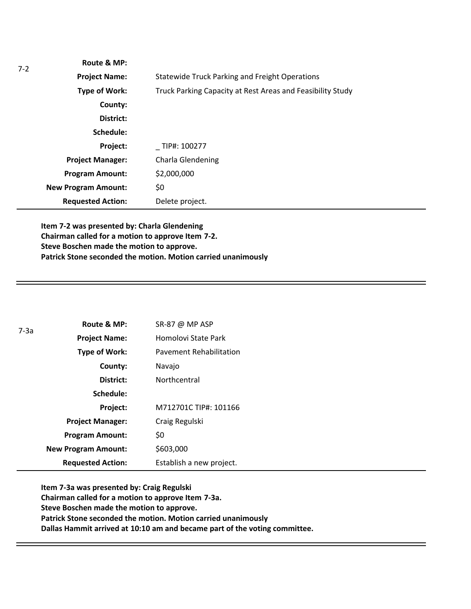| -2 | Route & MP:                |                                                            |
|----|----------------------------|------------------------------------------------------------|
|    | <b>Project Name:</b>       | <b>Statewide Truck Parking and Freight Operations</b>      |
|    | Type of Work:              | Truck Parking Capacity at Rest Areas and Feasibility Study |
|    | County:                    |                                                            |
|    | District:                  |                                                            |
|    | Schedule:                  |                                                            |
|    | Project:                   | TIP#: 100277                                               |
|    | <b>Project Manager:</b>    | Charla Glendening                                          |
|    | <b>Program Amount:</b>     | \$2,000,000                                                |
|    | <b>New Program Amount:</b> | \$0                                                        |
|    | <b>Requested Action:</b>   | Delete project.                                            |
|    |                            |                                                            |

**Item 7-2 was presented by: Charla Glendening Chairman called for a motion to approve Item 7-2. Steve Boschen made the motion to approve. Patrick Stone seconded the motion. Motion carried unanimously**

| $7-3a$ | Route & MP:                | SR-87 @ MP ASP                 |
|--------|----------------------------|--------------------------------|
|        | <b>Project Name:</b>       | Homolovi State Park            |
|        | Type of Work:              | <b>Pavement Rehabilitation</b> |
|        | County:                    | Navajo                         |
|        | District:                  | Northcentral                   |
|        | Schedule:                  |                                |
|        | Project:                   | M712701C TIP#: 101166          |
|        | <b>Project Manager:</b>    | Craig Regulski                 |
|        | <b>Program Amount:</b>     | \$0                            |
|        | <b>New Program Amount:</b> | \$603,000                      |
|        | <b>Requested Action:</b>   | Establish a new project.       |

**Item 7-3a was presented by: Craig Regulski Chairman called for a motion to approve Item 7-3a. Steve Boschen made the motion to approve. Patrick Stone seconded the motion. Motion carried unanimously Dallas Hammit arrived at 10:10 am and became part of the voting committee.**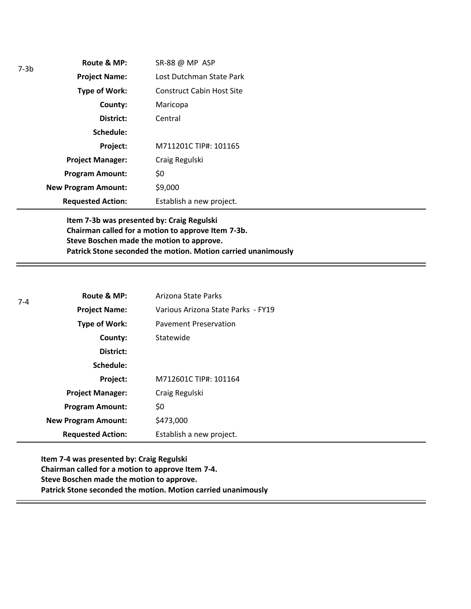| $7-3b$ | Route & MP:                | SR-88 @ MP ASP                   |
|--------|----------------------------|----------------------------------|
|        | <b>Project Name:</b>       | Lost Dutchman State Park         |
|        | Type of Work:              | <b>Construct Cabin Host Site</b> |
|        | County:                    | Maricopa                         |
|        | District:                  | Central                          |
|        | Schedule:                  |                                  |
|        | Project:                   | M711201C TIP#: 101165            |
|        | <b>Project Manager:</b>    | Craig Regulski                   |
|        | <b>Program Amount:</b>     | \$0                              |
|        | <b>New Program Amount:</b> | \$9,000                          |
|        | <b>Requested Action:</b>   | Establish a new project.         |

**Item 7-3b was presented by: Craig Regulski Chairman called for a motion to approve Item 7-3b. Steve Boschen made the motion to approve. Patrick Stone seconded the motion. Motion carried unanimously**

| $7 - 4$ | Route & MP:                | Arizona State Parks                |
|---------|----------------------------|------------------------------------|
|         | <b>Project Name:</b>       | Various Arizona State Parks - FY19 |
|         | <b>Type of Work:</b>       | <b>Pavement Preservation</b>       |
|         | County:                    | Statewide                          |
|         | District:                  |                                    |
|         | Schedule:                  |                                    |
|         | Project:                   | M712601C TIP#: 101164              |
|         | <b>Project Manager:</b>    | Craig Regulski                     |
|         | <b>Program Amount:</b>     | \$0                                |
|         | <b>New Program Amount:</b> | \$473,000                          |
|         | <b>Requested Action:</b>   | Establish a new project.           |

**Item 7-4 was presented by: Craig Regulski Chairman called for a motion to approve Item 7-4. Steve Boschen made the motion to approve. Patrick Stone seconded the motion. Motion carried unanimously**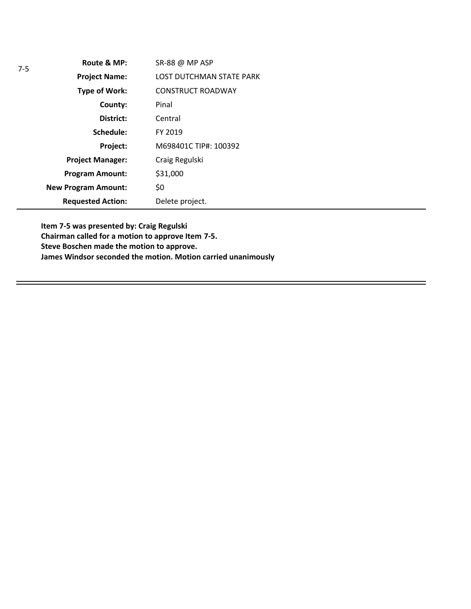| $7 - 5$ | Route & MP:                | SR-88 @ MP ASP                  |
|---------|----------------------------|---------------------------------|
|         | <b>Project Name:</b>       | <b>LOST DUTCHMAN STATE PARK</b> |
|         | <b>Type of Work:</b>       | <b>CONSTRUCT ROADWAY</b>        |
|         | County:                    | Pinal                           |
|         | District:                  | Central                         |
|         | Schedule:                  | FY 2019                         |
|         | Project:                   | M698401C TIP#: 100392           |
|         | <b>Project Manager:</b>    | Craig Regulski                  |
|         | <b>Program Amount:</b>     | \$31,000                        |
|         | <b>New Program Amount:</b> | \$0                             |
|         | <b>Requested Action:</b>   | Delete project.                 |

**Item 7-5 was presented by: Craig Regulski Chairman called for a motion to approve Item 7-5. Steve Boschen made the motion to approve. James Windsor seconded the motion. Motion carried unanimously**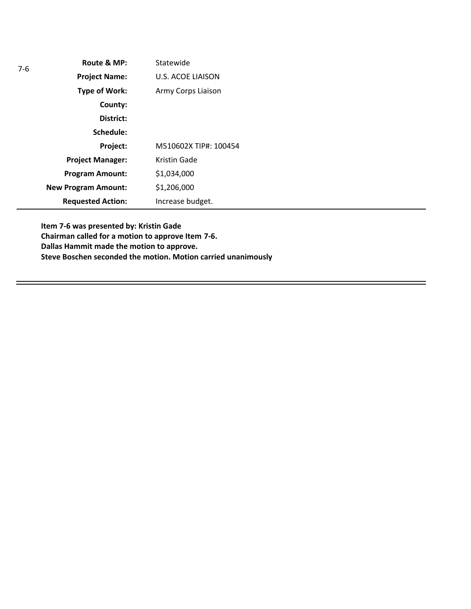| $7-6$ | Route & MP:                | Statewide                |
|-------|----------------------------|--------------------------|
|       | <b>Project Name:</b>       | <b>U.S. ACOE LIAISON</b> |
|       | <b>Type of Work:</b>       | Army Corps Liaison       |
|       | County:                    |                          |
|       | District:                  |                          |
|       | Schedule:                  |                          |
|       | Project:                   | M510602X TIP#: 100454    |
|       | <b>Project Manager:</b>    | Kristin Gade             |
|       | <b>Program Amount:</b>     | \$1,034,000              |
|       | <b>New Program Amount:</b> | \$1,206,000              |
|       | <b>Requested Action:</b>   | Increase budget.         |

**Item 7-6 was presented by: Kristin Gade Chairman called for a motion to approve Item 7-6. Dallas Hammit made the motion to approve. Steve Boschen seconded the motion. Motion carried unanimously**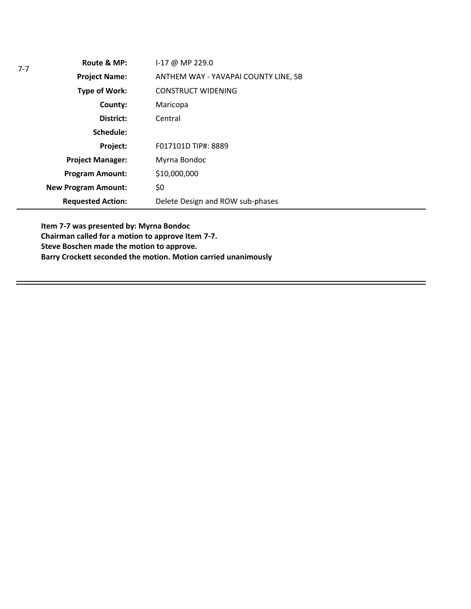| $7 - 7$ | Route & MP:                | I-17 @ MP 229.0                      |
|---------|----------------------------|--------------------------------------|
|         | <b>Project Name:</b>       | ANTHEM WAY - YAVAPAI COUNTY LINE, SB |
|         | Type of Work:              | <b>CONSTRUCT WIDENING</b>            |
|         | County:                    | Maricopa                             |
|         | District:                  | Central                              |
|         | Schedule:                  |                                      |
|         | Project:                   | F017101D TIP#: 8889                  |
|         | <b>Project Manager:</b>    | Myrna Bondoc                         |
|         | <b>Program Amount:</b>     | \$10,000,000                         |
|         | <b>New Program Amount:</b> | \$0                                  |
|         | <b>Requested Action:</b>   | Delete Design and ROW sub-phases     |

**Item 7-7 was presented by: Myrna Bondoc Chairman called for a motion to approve Item 7-7. Steve Boschen made the motion to approve. Barry Crockett seconded the motion. Motion carried unanimously**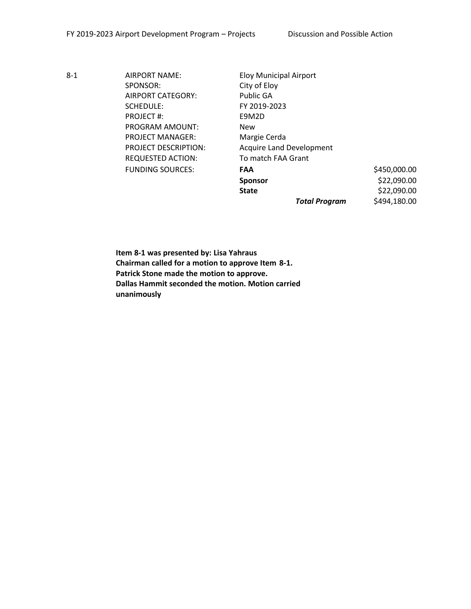8-1 AIRPORT NAME: Eloy Municipal Airport SPONSOR: City of Eloy AIRPORT CATEGORY: Public GA SCHEDULE: FY 2019-2023 PROJECT #: E9M2D PROGRAM AMOUNT: New PROJECT MANAGER: Margie Cerda REQUESTED ACTION: To match FAA Grant

PROJECT DESCRIPTION: Acquire Land Development FUNDING SOURCES: **FAA** \$450,000.00 **Sponsor** \$22,090.00 **State**  $\begin{array}{ccc} 522,090.00 \end{array}$ 

*Total Program* \$494,180.00

**Item 8-1 was presented by: Lisa Yahraus Chairman called for a motion to approve Item 8-1. Patrick Stone made the motion to approve. Dallas Hammit seconded the motion. Motion carried unanimously**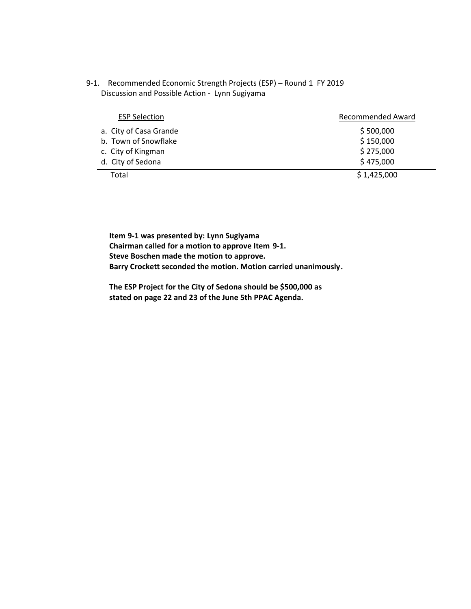9-1. Recommended Economic Strength Projects (ESP) – Round 1 FY 2019 Discussion and Possible Action - Lynn Sugiyama

| <b>ESP Selection</b>   | <b>Recommended Award</b> |
|------------------------|--------------------------|
| a. City of Casa Grande | \$500,000                |
| b. Town of Snowflake   | \$150,000                |
| c. City of Kingman     | \$275,000                |
| d. City of Sedona      | \$475,000                |
| Total                  | \$1,425,000              |

**Item 9-1 was presented by: Lynn Sugiyama Chairman called for a motion to approve Item 9-1. Steve Boschen made the motion to approve. Barry Crockett seconded the motion. Motion carried unanimously.**

**The ESP Project for the City of Sedona should be \$500,000 as stated on page 22 and 23 of the June 5th PPAC Agenda.**